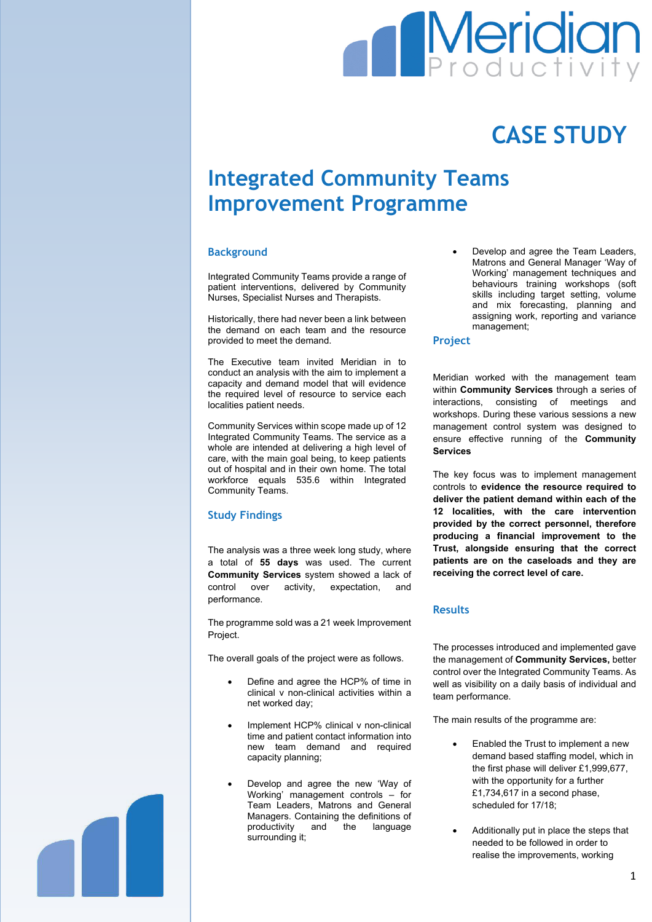# **Meridian**

## **CASE STUDY**

### **Integrated Community Teams Improvement Programme**

#### **Background**

Integrated Community Teams provide a range of patient interventions, delivered by Community Nurses, Specialist Nurses and Therapists.

Historically, there had never been a link between the demand on each team and the resource provided to meet the demand.

The Executive team invited Meridian in to conduct an analysis with the aim to implement a capacity and demand model that will evidence the required level of resource to service each localities patient needs.

Community Services within scope made up of 12 Integrated Community Teams. The service as a whole are intended at delivering a high level of care, with the main goal being, to keep patients out of hospital and in their own home. The total workforce equals 535.6 within Integrated Community Teams.

#### **Study Findings**

The analysis was a three week long study, where a total of **55 days** was used. The current **Community Services** system showed a lack of control over activity, expectation, and performance.

The programme sold was a 21 week Improvement Project.

The overall goals of the project were as follows.

- Define and agree the HCP% of time in clinical v non-clinical activities within a net worked day;
- Implement HCP% clinical v non-clinical time and patient contact information into new team demand and required capacity planning;
- Develop and agree the new 'Way of Working' management controls – for Team Leaders, Matrons and General Managers. Containing the definitions of productivity and the language surrounding it;

 Develop and agree the Team Leaders, Matrons and General Manager 'Way of Working' management techniques and behaviours training workshops (soft skills including target setting, volume and mix forecasting, planning and assigning work, reporting and variance management;

#### **Project**

Meridian worked with the management team within **Community Services** through a series of interactions, consisting of meetings and workshops. During these various sessions a new management control system was designed to ensure effective running of the **Community Services**

The key focus was to implement management controls to **evidence the resource required to deliver the patient demand within each of the 12 localities, with the care intervention provided by the correct personnel, therefore producing a financial improvement to the Trust, alongside ensuring that the correct patients are on the caseloads and they are receiving the correct level of care.**

#### **Results**

The processes introduced and implemented gave the management of **Community Services,** better control over the Integrated Community Teams. As well as visibility on a daily basis of individual and team performance.

The main results of the programme are:

- Enabled the Trust to implement a new demand based staffing model, which in the first phase will deliver £1,999,677, with the opportunity for a further £1,734,617 in a second phase, scheduled for 17/18;
- Additionally put in place the steps that needed to be followed in order to realise the improvements, working

1